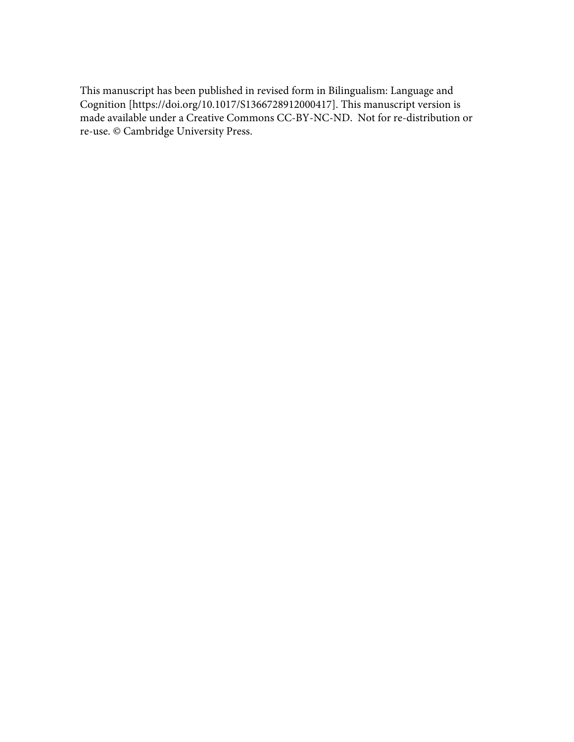This manuscript has been published in revised form in Bilingualism: Language and Cognition [https://doi.org/10.1017/S1366728912000417]. This manuscript version is made available under a Creative Commons CC-BY-NC-ND. Not for re-distribution or re-use. © Cambridge University Press.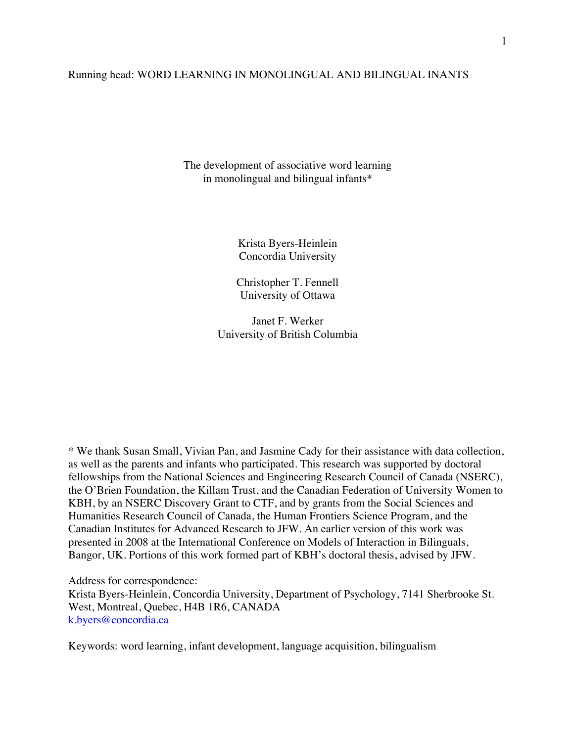## Running head: WORD LEARNING IN MONOLINGUAL AND BILINGUAL INANTS

The development of associative word learning in monolingual and bilingual infants\*

> Krista Byers-Heinlein Concordia University

Christopher T. Fennell University of Ottawa

Janet F. Werker University of British Columbia

\* We thank Susan Small, Vivian Pan, and Jasmine Cady for their assistance with data collection, as well as the parents and infants who participated. This research was supported by doctoral fellowships from the National Sciences and Engineering Research Council of Canada (NSERC), the O'Brien Foundation, the Killam Trust, and the Canadian Federation of University Women to KBH, by an NSERC Discovery Grant to CTF, and by grants from the Social Sciences and Humanities Research Council of Canada, the Human Frontiers Science Program, and the Canadian Institutes for Advanced Research to JFW. An earlier version of this work was presented in 2008 at the International Conference on Models of Interaction in Bilinguals, Bangor, UK. Portions of this work formed part of KBH's doctoral thesis, advised by JFW.

Address for correspondence: Krista Byers-Heinlein, Concordia University, Department of Psychology, 7141 Sherbrooke St. West, Montreal, Quebec, H4B 1R6, CANADA k.byers@concordia.ca

Keywords: word learning, infant development, language acquisition, bilingualism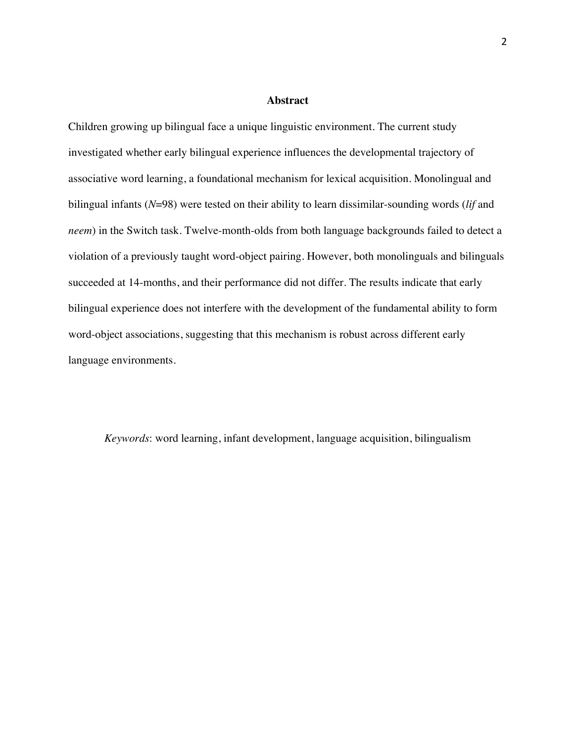### **Abstract**

Children growing up bilingual face a unique linguistic environment. The current study investigated whether early bilingual experience influences the developmental trajectory of associative word learning, a foundational mechanism for lexical acquisition. Monolingual and bilingual infants (*N*=98) were tested on their ability to learn dissimilar-sounding words (*lif* and *neem*) in the Switch task. Twelve-month-olds from both language backgrounds failed to detect a violation of a previously taught word-object pairing. However, both monolinguals and bilinguals succeeded at 14-months, and their performance did not differ. The results indicate that early bilingual experience does not interfere with the development of the fundamental ability to form word-object associations, suggesting that this mechanism is robust across different early language environments.

*Keywords*: word learning, infant development, language acquisition, bilingualism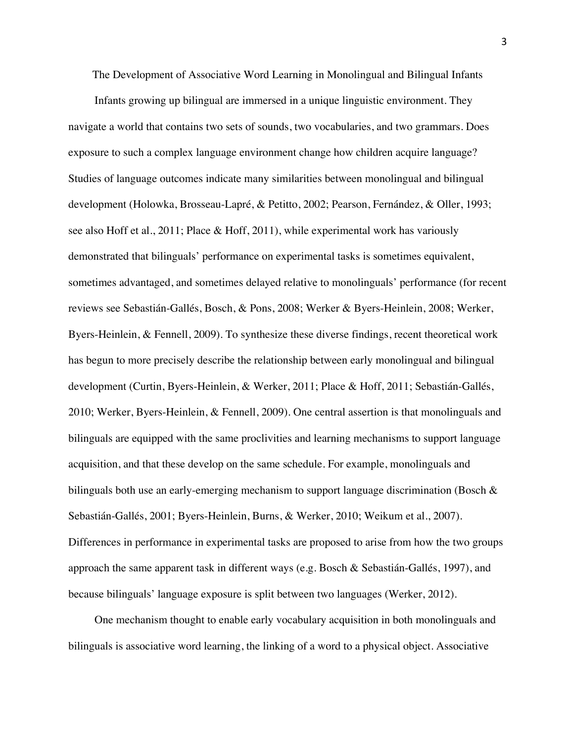The Development of Associative Word Learning in Monolingual and Bilingual Infants

Infants growing up bilingual are immersed in a unique linguistic environment. They navigate a world that contains two sets of sounds, two vocabularies, and two grammars. Does exposure to such a complex language environment change how children acquire language? Studies of language outcomes indicate many similarities between monolingual and bilingual development (Holowka, Brosseau-Lapré, & Petitto, 2002; Pearson, Fernández, & Oller, 1993; see also Hoff et al., 2011; Place & Hoff, 2011), while experimental work has variously demonstrated that bilinguals' performance on experimental tasks is sometimes equivalent, sometimes advantaged, and sometimes delayed relative to monolinguals' performance (for recent reviews see Sebastián-Gallés, Bosch, & Pons, 2008; Werker & Byers-Heinlein, 2008; Werker, Byers-Heinlein, & Fennell, 2009). To synthesize these diverse findings, recent theoretical work has begun to more precisely describe the relationship between early monolingual and bilingual development (Curtin, Byers-Heinlein, & Werker, 2011; Place & Hoff, 2011; Sebastián-Gallés, 2010; Werker, Byers-Heinlein, & Fennell, 2009). One central assertion is that monolinguals and bilinguals are equipped with the same proclivities and learning mechanisms to support language acquisition, and that these develop on the same schedule. For example, monolinguals and bilinguals both use an early-emerging mechanism to support language discrimination (Bosch  $\&$ Sebastián-Gallés, 2001; Byers-Heinlein, Burns, & Werker, 2010; Weikum et al., 2007). Differences in performance in experimental tasks are proposed to arise from how the two groups approach the same apparent task in different ways (e.g. Bosch & Sebastián-Gallés, 1997), and because bilinguals' language exposure is split between two languages (Werker, 2012).

One mechanism thought to enable early vocabulary acquisition in both monolinguals and bilinguals is associative word learning, the linking of a word to a physical object. Associative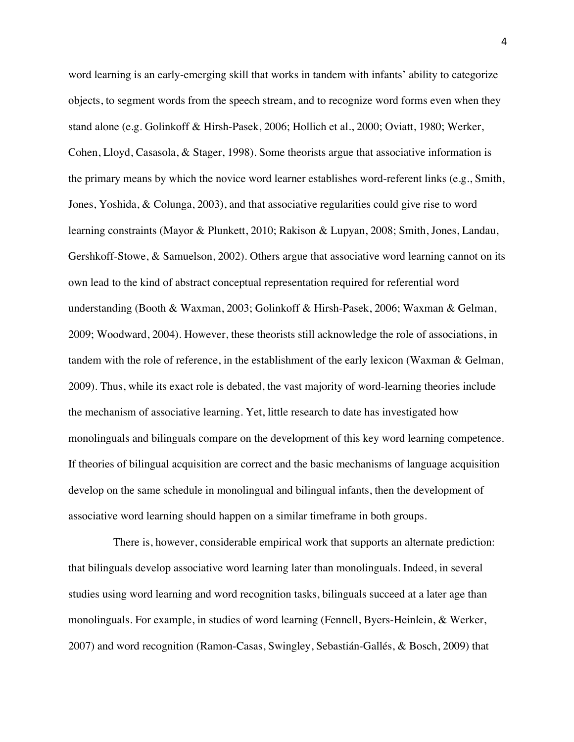word learning is an early-emerging skill that works in tandem with infants' ability to categorize objects, to segment words from the speech stream, and to recognize word forms even when they stand alone (e.g. Golinkoff & Hirsh-Pasek, 2006; Hollich et al., 2000; Oviatt, 1980; Werker, Cohen, Lloyd, Casasola, & Stager, 1998). Some theorists argue that associative information is the primary means by which the novice word learner establishes word-referent links (e.g., Smith, Jones, Yoshida, & Colunga, 2003), and that associative regularities could give rise to word learning constraints (Mayor & Plunkett, 2010; Rakison & Lupyan, 2008; Smith, Jones, Landau, Gershkoff-Stowe, & Samuelson, 2002). Others argue that associative word learning cannot on its own lead to the kind of abstract conceptual representation required for referential word understanding (Booth & Waxman, 2003; Golinkoff & Hirsh-Pasek, 2006; Waxman & Gelman, 2009; Woodward, 2004). However, these theorists still acknowledge the role of associations, in tandem with the role of reference, in the establishment of the early lexicon (Waxman & Gelman, 2009). Thus, while its exact role is debated, the vast majority of word-learning theories include the mechanism of associative learning. Yet, little research to date has investigated how monolinguals and bilinguals compare on the development of this key word learning competence. If theories of bilingual acquisition are correct and the basic mechanisms of language acquisition develop on the same schedule in monolingual and bilingual infants, then the development of associative word learning should happen on a similar timeframe in both groups.

There is, however, considerable empirical work that supports an alternate prediction: that bilinguals develop associative word learning later than monolinguals. Indeed, in several studies using word learning and word recognition tasks, bilinguals succeed at a later age than monolinguals. For example, in studies of word learning (Fennell, Byers-Heinlein, & Werker, 2007) and word recognition (Ramon-Casas, Swingley, Sebastián-Gallés, & Bosch, 2009) that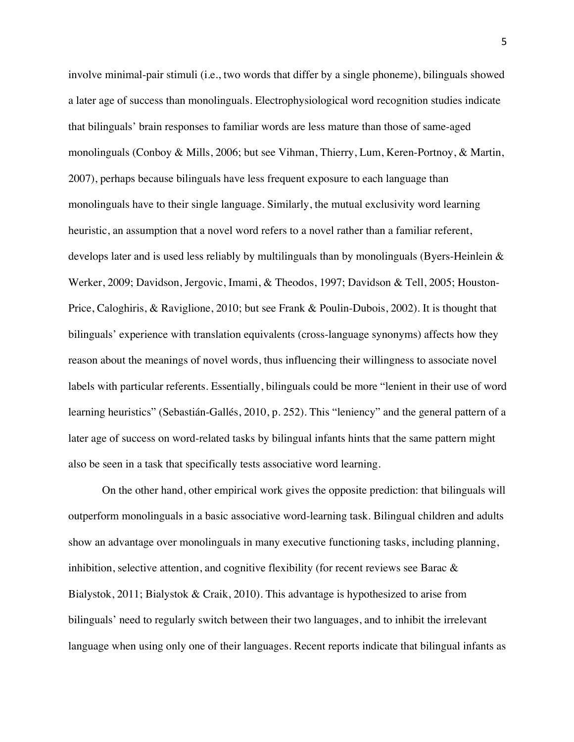involve minimal-pair stimuli (i.e., two words that differ by a single phoneme), bilinguals showed a later age of success than monolinguals. Electrophysiological word recognition studies indicate that bilinguals' brain responses to familiar words are less mature than those of same-aged monolinguals (Conboy & Mills, 2006; but see Vihman, Thierry, Lum, Keren-Portnoy, & Martin, 2007), perhaps because bilinguals have less frequent exposure to each language than monolinguals have to their single language. Similarly, the mutual exclusivity word learning heuristic, an assumption that a novel word refers to a novel rather than a familiar referent, develops later and is used less reliably by multilinguals than by monolinguals (Byers-Heinlein & Werker, 2009; Davidson, Jergovic, Imami, & Theodos, 1997; Davidson & Tell, 2005; Houston-Price, Caloghiris, & Raviglione, 2010; but see Frank & Poulin-Dubois, 2002). It is thought that bilinguals' experience with translation equivalents (cross-language synonyms) affects how they reason about the meanings of novel words, thus influencing their willingness to associate novel labels with particular referents. Essentially, bilinguals could be more "lenient in their use of word learning heuristics" (Sebastián-Gallés, 2010, p. 252). This "leniency" and the general pattern of a later age of success on word-related tasks by bilingual infants hints that the same pattern might also be seen in a task that specifically tests associative word learning.

On the other hand, other empirical work gives the opposite prediction: that bilinguals will outperform monolinguals in a basic associative word-learning task. Bilingual children and adults show an advantage over monolinguals in many executive functioning tasks, including planning, inhibition, selective attention, and cognitive flexibility (for recent reviews see Barac & Bialystok, 2011; Bialystok & Craik, 2010). This advantage is hypothesized to arise from bilinguals' need to regularly switch between their two languages, and to inhibit the irrelevant language when using only one of their languages. Recent reports indicate that bilingual infants as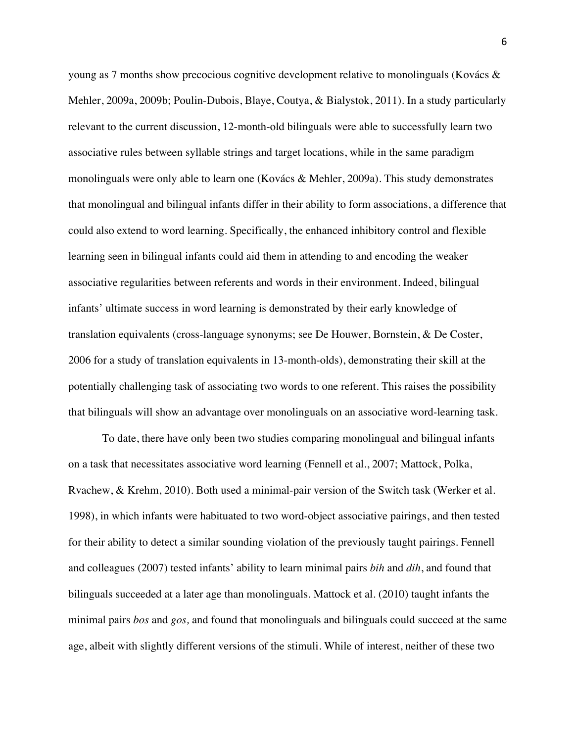young as 7 months show precocious cognitive development relative to monolinguals (Kovács & Mehler, 2009a, 2009b; Poulin-Dubois, Blaye, Coutya, & Bialystok, 2011). In a study particularly relevant to the current discussion, 12-month-old bilinguals were able to successfully learn two associative rules between syllable strings and target locations, while in the same paradigm monolinguals were only able to learn one (Kovács & Mehler, 2009a). This study demonstrates that monolingual and bilingual infants differ in their ability to form associations, a difference that could also extend to word learning. Specifically, the enhanced inhibitory control and flexible learning seen in bilingual infants could aid them in attending to and encoding the weaker associative regularities between referents and words in their environment. Indeed, bilingual infants' ultimate success in word learning is demonstrated by their early knowledge of translation equivalents (cross-language synonyms; see De Houwer, Bornstein, & De Coster, 2006 for a study of translation equivalents in 13-month-olds), demonstrating their skill at the potentially challenging task of associating two words to one referent. This raises the possibility that bilinguals will show an advantage over monolinguals on an associative word-learning task.

To date, there have only been two studies comparing monolingual and bilingual infants on a task that necessitates associative word learning (Fennell et al., 2007; Mattock, Polka, Rvachew, & Krehm, 2010). Both used a minimal-pair version of the Switch task (Werker et al. 1998), in which infants were habituated to two word-object associative pairings, and then tested for their ability to detect a similar sounding violation of the previously taught pairings. Fennell and colleagues (2007) tested infants' ability to learn minimal pairs *bih* and *dih*, and found that bilinguals succeeded at a later age than monolinguals. Mattock et al. (2010) taught infants the minimal pairs *bos* and *gos,* and found that monolinguals and bilinguals could succeed at the same age, albeit with slightly different versions of the stimuli. While of interest, neither of these two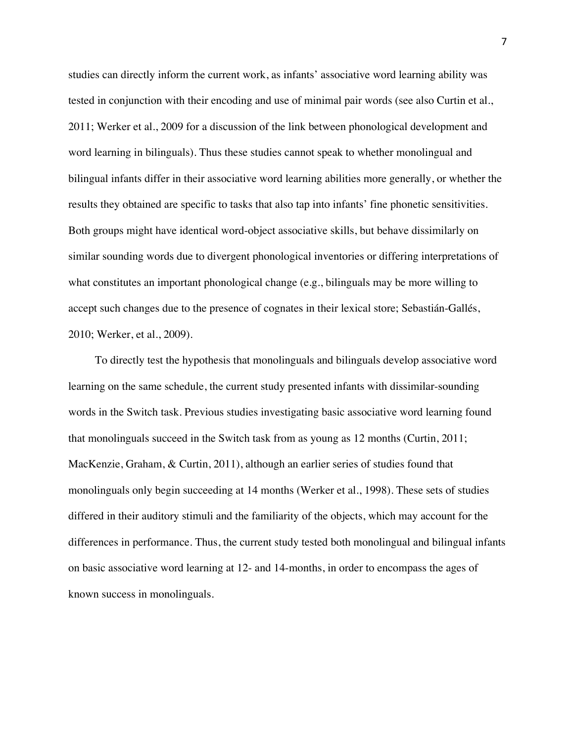studies can directly inform the current work, as infants' associative word learning ability was tested in conjunction with their encoding and use of minimal pair words (see also Curtin et al., 2011; Werker et al., 2009 for a discussion of the link between phonological development and word learning in bilinguals). Thus these studies cannot speak to whether monolingual and bilingual infants differ in their associative word learning abilities more generally, or whether the results they obtained are specific to tasks that also tap into infants' fine phonetic sensitivities. Both groups might have identical word-object associative skills, but behave dissimilarly on similar sounding words due to divergent phonological inventories or differing interpretations of what constitutes an important phonological change (e.g., bilinguals may be more willing to accept such changes due to the presence of cognates in their lexical store; Sebastián-Gallés, 2010; Werker, et al., 2009).

To directly test the hypothesis that monolinguals and bilinguals develop associative word learning on the same schedule, the current study presented infants with dissimilar-sounding words in the Switch task. Previous studies investigating basic associative word learning found that monolinguals succeed in the Switch task from as young as 12 months (Curtin, 2011; MacKenzie, Graham, & Curtin, 2011), although an earlier series of studies found that monolinguals only begin succeeding at 14 months (Werker et al., 1998). These sets of studies differed in their auditory stimuli and the familiarity of the objects, which may account for the differences in performance. Thus, the current study tested both monolingual and bilingual infants on basic associative word learning at 12- and 14-months, in order to encompass the ages of known success in monolinguals.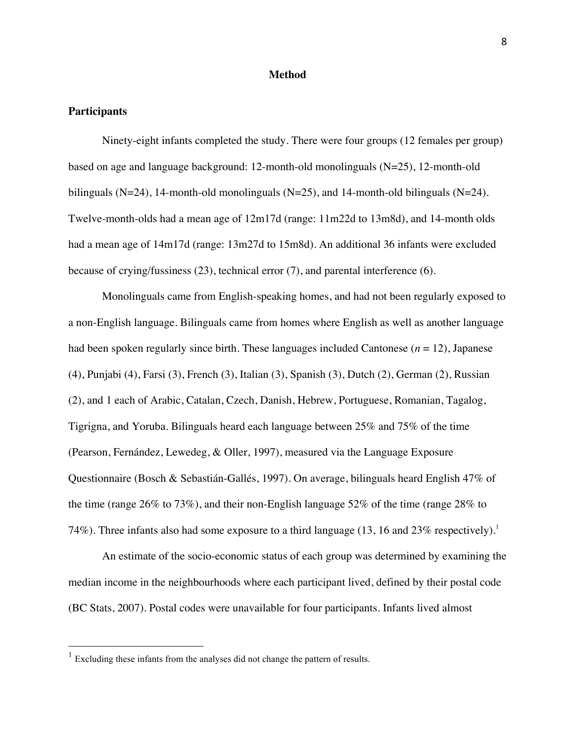### **Method**

#### **Participants**

Ninety-eight infants completed the study. There were four groups (12 females per group) based on age and language background: 12-month-old monolinguals (N=25), 12-month-old bilinguals (N=24), 14-month-old monolinguals (N=25), and 14-month-old bilinguals (N=24). Twelve-month-olds had a mean age of 12m17d (range: 11m22d to 13m8d), and 14-month olds had a mean age of 14m17d (range: 13m27d to 15m8d). An additional 36 infants were excluded because of crying/fussiness (23), technical error (7), and parental interference (6).

Monolinguals came from English-speaking homes, and had not been regularly exposed to a non-English language. Bilinguals came from homes where English as well as another language had been spoken regularly since birth. These languages included Cantonese (*n* = 12), Japanese (4), Punjabi (4), Farsi (3), French (3), Italian (3), Spanish (3), Dutch (2), German (2), Russian (2), and 1 each of Arabic, Catalan, Czech, Danish, Hebrew, Portuguese, Romanian, Tagalog, Tigrigna, and Yoruba. Bilinguals heard each language between 25% and 75% of the time (Pearson, Fernández, Lewedeg, & Oller, 1997), measured via the Language Exposure Questionnaire (Bosch & Sebastián-Gallés, 1997). On average, bilinguals heard English 47% of the time (range 26% to 73%), and their non-English language 52% of the time (range 28% to 74%). Three infants also had some exposure to a third language (13, 16 and 23% respectively).<sup>1</sup>

An estimate of the socio-economic status of each group was determined by examining the median income in the neighbourhoods where each participant lived, defined by their postal code (BC Stats, 2007). Postal codes were unavailable for four participants. Infants lived almost

<sup>&</sup>lt;sup>1</sup> Excluding these infants from the analyses did not change the pattern of results.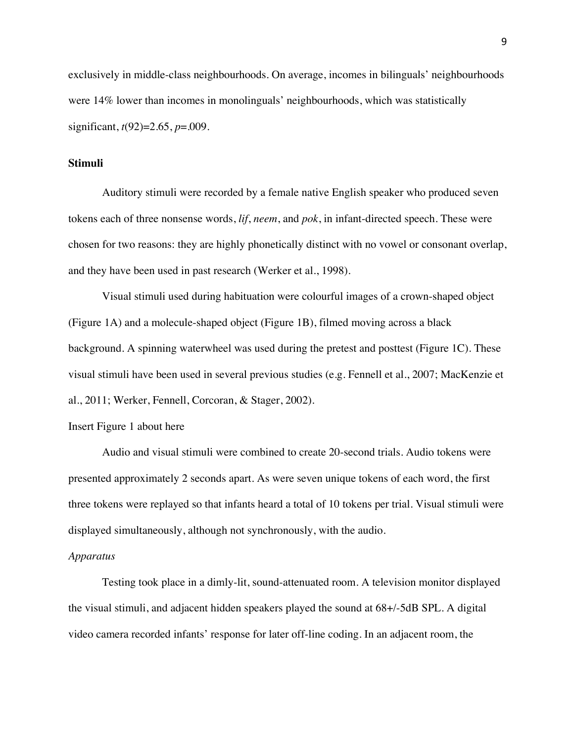exclusively in middle-class neighbourhoods. On average, incomes in bilinguals' neighbourhoods were 14% lower than incomes in monolinguals' neighbourhoods, which was statistically significant, *t*(92)=2.65, *p*=.009.

## **Stimuli**

Auditory stimuli were recorded by a female native English speaker who produced seven tokens each of three nonsense words, *lif*, *neem*, and *pok*, in infant-directed speech. These were chosen for two reasons: they are highly phonetically distinct with no vowel or consonant overlap, and they have been used in past research (Werker et al., 1998).

Visual stimuli used during habituation were colourful images of a crown-shaped object (Figure 1A) and a molecule-shaped object (Figure 1B), filmed moving across a black background. A spinning waterwheel was used during the pretest and posttest (Figure 1C). These visual stimuli have been used in several previous studies (e.g. Fennell et al., 2007; MacKenzie et al., 2011; Werker, Fennell, Corcoran, & Stager, 2002).

#### Insert Figure 1 about here

Audio and visual stimuli were combined to create 20-second trials. Audio tokens were presented approximately 2 seconds apart. As were seven unique tokens of each word, the first three tokens were replayed so that infants heard a total of 10 tokens per trial. Visual stimuli were displayed simultaneously, although not synchronously, with the audio.

## *Apparatus*

Testing took place in a dimly-lit, sound-attenuated room. A television monitor displayed the visual stimuli, and adjacent hidden speakers played the sound at 68+/-5dB SPL. A digital video camera recorded infants' response for later off-line coding. In an adjacent room, the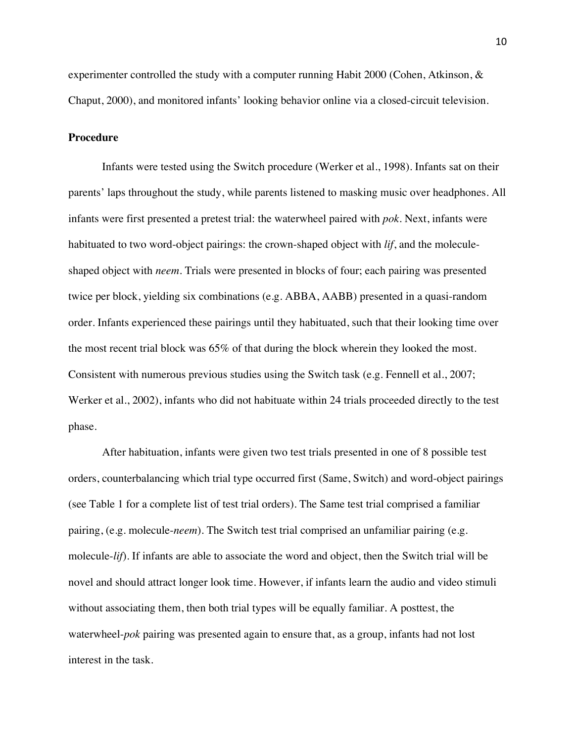experimenter controlled the study with a computer running Habit 2000 (Cohen, Atkinson, & Chaput, 2000), and monitored infants' looking behavior online via a closed-circuit television.

## **Procedure**

Infants were tested using the Switch procedure (Werker et al., 1998). Infants sat on their parents' laps throughout the study, while parents listened to masking music over headphones. All infants were first presented a pretest trial: the waterwheel paired with *pok*. Next, infants were habituated to two word-object pairings: the crown-shaped object with *lif*, and the moleculeshaped object with *neem*. Trials were presented in blocks of four; each pairing was presented twice per block, yielding six combinations (e.g. ABBA, AABB) presented in a quasi-random order. Infants experienced these pairings until they habituated, such that their looking time over the most recent trial block was 65% of that during the block wherein they looked the most. Consistent with numerous previous studies using the Switch task (e.g. Fennell et al., 2007; Werker et al., 2002), infants who did not habituate within 24 trials proceeded directly to the test phase.

After habituation, infants were given two test trials presented in one of 8 possible test orders, counterbalancing which trial type occurred first (Same, Switch) and word-object pairings (see Table 1 for a complete list of test trial orders). The Same test trial comprised a familiar pairing, (e.g. molecule-*neem*). The Switch test trial comprised an unfamiliar pairing (e.g. molecule-*lif*). If infants are able to associate the word and object, then the Switch trial will be novel and should attract longer look time. However, if infants learn the audio and video stimuli without associating them, then both trial types will be equally familiar. A posttest, the waterwheel-*pok* pairing was presented again to ensure that, as a group, infants had not lost interest in the task.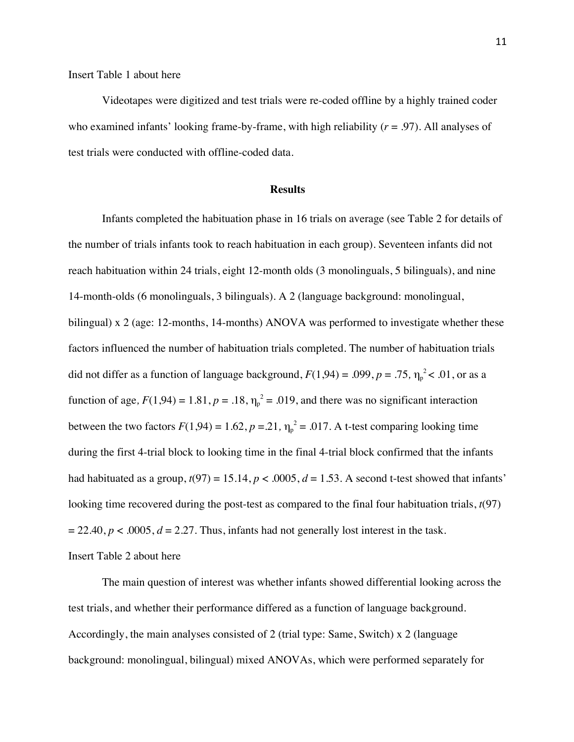Insert Table 1 about here

Videotapes were digitized and test trials were re-coded offline by a highly trained coder who examined infants' looking frame-by-frame, with high reliability  $(r = .97)$ . All analyses of test trials were conducted with offline-coded data.

#### **Results**

Infants completed the habituation phase in 16 trials on average (see Table 2 for details of the number of trials infants took to reach habituation in each group). Seventeen infants did not reach habituation within 24 trials, eight 12-month olds (3 monolinguals, 5 bilinguals), and nine 14-month-olds (6 monolinguals, 3 bilinguals). A 2 (language background: monolingual, bilingual) x 2 (age: 12-months, 14-months) ANOVA was performed to investigate whether these factors influenced the number of habituation trials completed. The number of habituation trials did not differ as a function of language background,  $F(1,94) = .099$ ,  $p = .75$ ,  $\eta_p^2 < .01$ , or as a function of age,  $F(1,94) = 1.81$ ,  $p = .18$ ,  $\eta_p^2 = .019$ , and there was no significant interaction between the two factors  $F(1,94) = 1.62$ ,  $p = 21$ ,  $\eta_p^2 = .017$ . A t-test comparing looking time during the first 4-trial block to looking time in the final 4-trial block confirmed that the infants had habituated as a group,  $t(97) = 15.14$ ,  $p < .0005$ ,  $d = 1.53$ . A second t-test showed that infants' looking time recovered during the post-test as compared to the final four habituation trials, *t*(97)  $= 22.40, p < .0005, d = 2.27$ . Thus, infants had not generally lost interest in the task. Insert Table 2 about here

The main question of interest was whether infants showed differential looking across the test trials, and whether their performance differed as a function of language background. Accordingly, the main analyses consisted of 2 (trial type: Same, Switch) x 2 (language background: monolingual, bilingual) mixed ANOVAs, which were performed separately for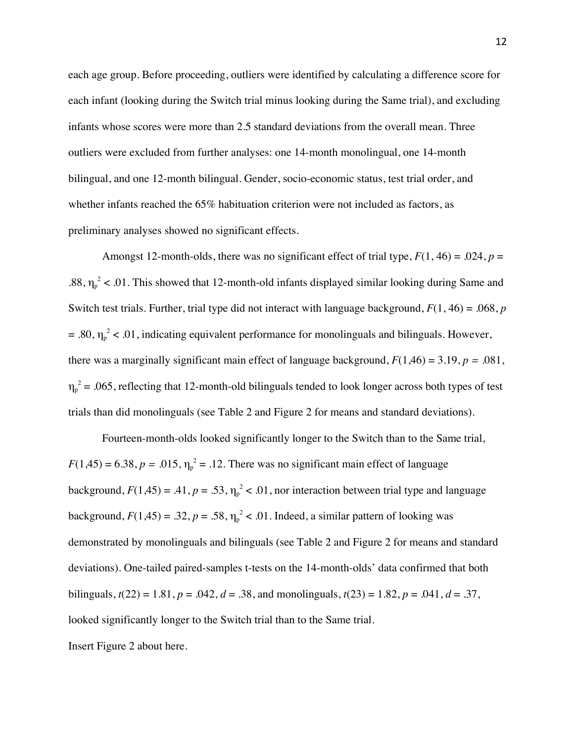each age group. Before proceeding, outliers were identified by calculating a difference score for each infant (looking during the Switch trial minus looking during the Same trial), and excluding infants whose scores were more than 2.5 standard deviations from the overall mean. Three outliers were excluded from further analyses: one 14-month monolingual, one 14-month bilingual, and one 12-month bilingual. Gender, socio-economic status, test trial order, and whether infants reached the 65% habituation criterion were not included as factors, as preliminary analyses showed no significant effects.

Amongst 12-month-olds, there was no significant effect of trial type,  $F(1, 46) = .024$ ,  $p =$ .88,  $\eta_p^2$  < .01. This showed that 12-month-old infants displayed similar looking during Same and Switch test trials. Further, trial type did not interact with language background, *F*(1, 46) = .068, *p*  = .80,  $\eta_p^2$  < .01, indicating equivalent performance for monolinguals and bilinguals. However, there was a marginally significant main effect of language background,  $F(1,46) = 3.19$ ,  $p = .081$ ,  $\eta_p^2$  = .065, reflecting that 12-month-old bilinguals tended to look longer across both types of test trials than did monolinguals (see Table 2 and Figure 2 for means and standard deviations)*.*

Fourteen-month-olds looked significantly longer to the Switch than to the Same trial,  $F(1,45) = 6.38, p = .015, \eta_p^2 = .12$ . There was no significant main effect of language background,  $F(1,45) = .41$ ,  $p = .53$ ,  $\eta_p^2 < .01$ , nor interaction between trial type and language background,  $F(1,45) = .32$ ,  $p = .58$ ,  $\eta_p^2 < .01$ . Indeed, a similar pattern of looking was demonstrated by monolinguals and bilinguals (see Table 2 and Figure 2 for means and standard deviations). One-tailed paired-samples t-tests on the 14-month-olds' data confirmed that both bilinguals,  $t(22) = 1.81$ ,  $p = .042$ ,  $d = .38$ , and monolinguals,  $t(23) = 1.82$ ,  $p = .041$ ,  $d = .37$ , looked significantly longer to the Switch trial than to the Same trial. Insert Figure 2 about here.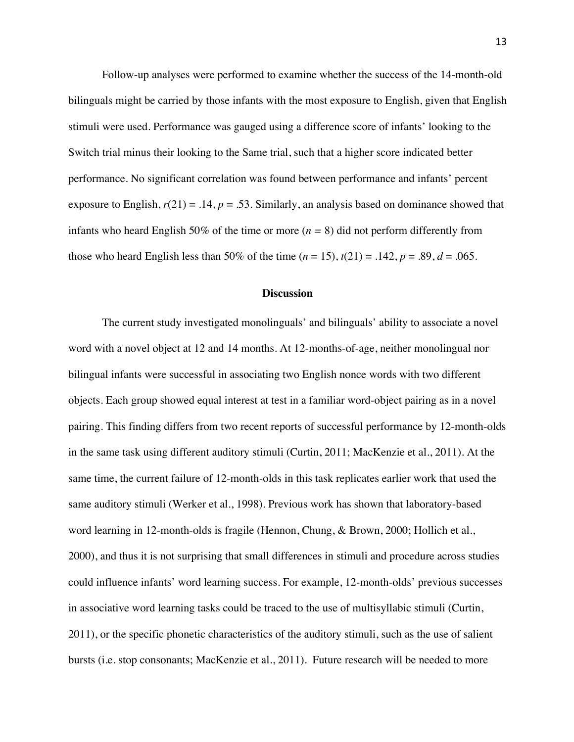Follow-up analyses were performed to examine whether the success of the 14-month-old bilinguals might be carried by those infants with the most exposure to English, given that English stimuli were used. Performance was gauged using a difference score of infants' looking to the Switch trial minus their looking to the Same trial, such that a higher score indicated better performance. No significant correlation was found between performance and infants' percent exposure to English,  $r(21) = .14$ ,  $p = .53$ . Similarly, an analysis based on dominance showed that infants who heard English 50% of the time or more (*n =* 8) did not perform differently from those who heard English less than 50% of the time  $(n = 15)$ ,  $t(21) = .142$ ,  $p = .89$ ,  $d = .065$ .

## **Discussion**

The current study investigated monolinguals' and bilinguals' ability to associate a novel word with a novel object at 12 and 14 months. At 12-months-of-age, neither monolingual nor bilingual infants were successful in associating two English nonce words with two different objects. Each group showed equal interest at test in a familiar word-object pairing as in a novel pairing. This finding differs from two recent reports of successful performance by 12-month-olds in the same task using different auditory stimuli (Curtin, 2011; MacKenzie et al., 2011). At the same time, the current failure of 12-month-olds in this task replicates earlier work that used the same auditory stimuli (Werker et al., 1998). Previous work has shown that laboratory-based word learning in 12-month-olds is fragile (Hennon, Chung, & Brown, 2000; Hollich et al., 2000), and thus it is not surprising that small differences in stimuli and procedure across studies could influence infants' word learning success. For example, 12-month-olds' previous successes in associative word learning tasks could be traced to the use of multisyllabic stimuli (Curtin, 2011), or the specific phonetic characteristics of the auditory stimuli, such as the use of salient bursts (i.e. stop consonants; MacKenzie et al., 2011). Future research will be needed to more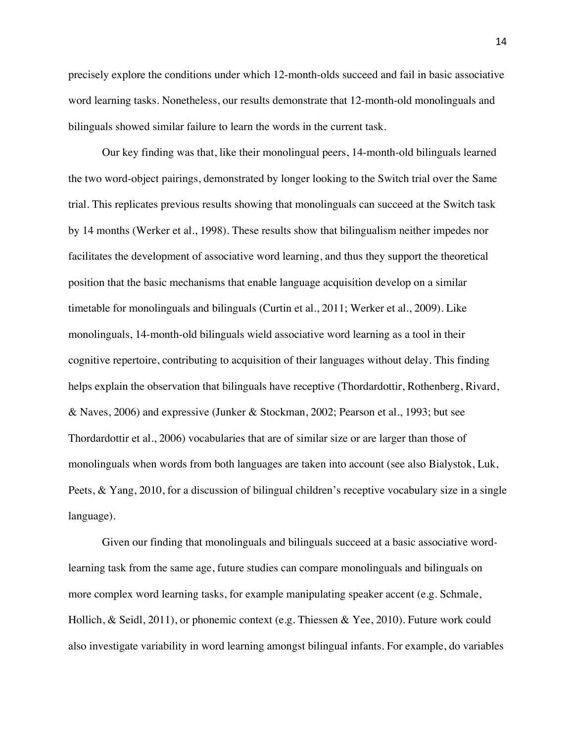precisely explore the conditions under which 12-month-olds succeed and fail in basic associative word learning tasks. Nonetheless, our results demonstrate that 12-month-old monolinguals and bilinguals showed similar failure to learn the words in the current task.

Our key finding was that, like their monolingual peers, 14-month-old bilinguals learned the two word-object pairings, demonstrated by longer looking to the Switch trial over the Same trial. This replicates previous results showing that monolinguals can succeed at the Switch task by 14 months (Werker et al., 1998). These results show that bilingualism neither impedes nor facilitates the development of associative word learning, and thus they support the theoretical position that the basic mechanisms that enable language acquisition develop on a similar timetable for monolinguals and bilinguals (Curtin et al., 2011; Werker et al., 2009). Like monolinguals, 14-month-old bilinguals wield associative word learning as a tool in their cognitive repertoire, contributing to acquisition of their languages without delay. This finding helps explain the observation that bilinguals have receptive (Thordardottir, Rothenberg, Rivard, & Naves, 2006) and expressive (Junker & Stockman, 2002; Pearson et al., 1993; but see Thordardottir et al., 2006) vocabularies that are of similar size or are larger than those of monolinguals when words from both languages are taken into account (see also Bialystok, Luk, Peets, & Yang, 2010, for a discussion of bilingual children's receptive vocabulary size in a single language).

Given our finding that monolinguals and bilinguals succeed at a basic associative wordlearning task from the same age, future studies can compare monolinguals and bilinguals on more complex word learning tasks, for example manipulating speaker accent (e.g. Schmale, Hollich, & Seidl, 2011), or phonemic context (e.g. Thiessen & Yee, 2010). Future work could also investigate variability in word learning amongst bilingual infants. For example, do variables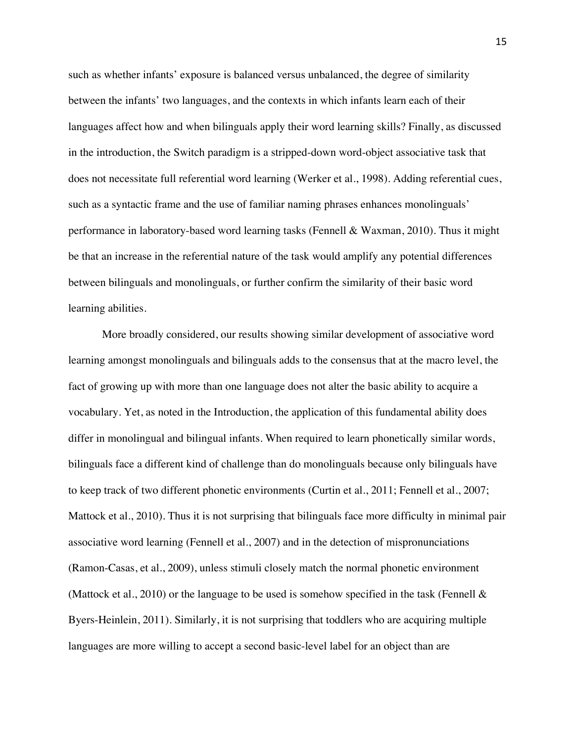such as whether infants' exposure is balanced versus unbalanced, the degree of similarity between the infants' two languages, and the contexts in which infants learn each of their languages affect how and when bilinguals apply their word learning skills? Finally, as discussed in the introduction, the Switch paradigm is a stripped-down word-object associative task that does not necessitate full referential word learning (Werker et al., 1998). Adding referential cues, such as a syntactic frame and the use of familiar naming phrases enhances monolinguals' performance in laboratory-based word learning tasks (Fennell & Waxman, 2010). Thus it might be that an increase in the referential nature of the task would amplify any potential differences between bilinguals and monolinguals, or further confirm the similarity of their basic word learning abilities.

More broadly considered, our results showing similar development of associative word learning amongst monolinguals and bilinguals adds to the consensus that at the macro level, the fact of growing up with more than one language does not alter the basic ability to acquire a vocabulary. Yet, as noted in the Introduction, the application of this fundamental ability does differ in monolingual and bilingual infants. When required to learn phonetically similar words, bilinguals face a different kind of challenge than do monolinguals because only bilinguals have to keep track of two different phonetic environments (Curtin et al., 2011; Fennell et al., 2007; Mattock et al., 2010). Thus it is not surprising that bilinguals face more difficulty in minimal pair associative word learning (Fennell et al., 2007) and in the detection of mispronunciations (Ramon-Casas, et al., 2009), unless stimuli closely match the normal phonetic environment (Mattock et al., 2010) or the language to be used is somehow specified in the task (Fennell  $\&$ Byers-Heinlein, 2011). Similarly, it is not surprising that toddlers who are acquiring multiple languages are more willing to accept a second basic-level label for an object than are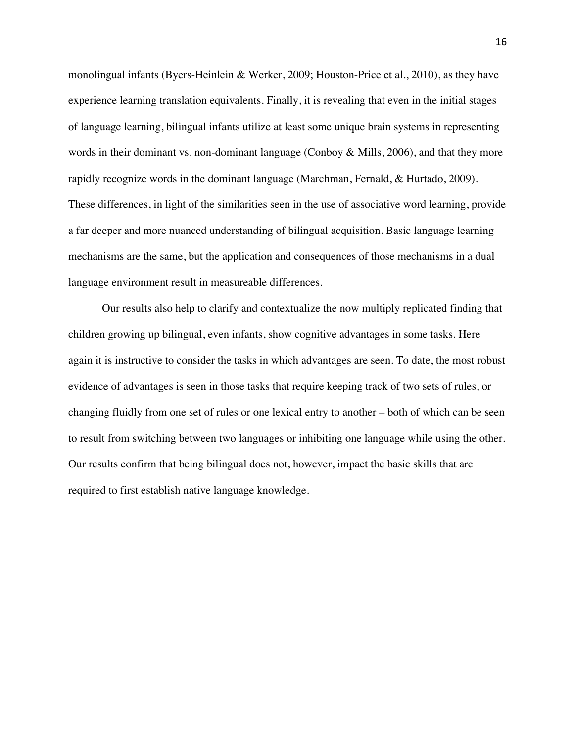monolingual infants (Byers-Heinlein & Werker, 2009; Houston-Price et al., 2010), as they have experience learning translation equivalents. Finally, it is revealing that even in the initial stages of language learning, bilingual infants utilize at least some unique brain systems in representing words in their dominant vs. non-dominant language (Conboy & Mills, 2006), and that they more rapidly recognize words in the dominant language (Marchman, Fernald, & Hurtado, 2009). These differences, in light of the similarities seen in the use of associative word learning, provide a far deeper and more nuanced understanding of bilingual acquisition. Basic language learning mechanisms are the same, but the application and consequences of those mechanisms in a dual language environment result in measureable differences.

Our results also help to clarify and contextualize the now multiply replicated finding that children growing up bilingual, even infants, show cognitive advantages in some tasks. Here again it is instructive to consider the tasks in which advantages are seen. To date, the most robust evidence of advantages is seen in those tasks that require keeping track of two sets of rules, or changing fluidly from one set of rules or one lexical entry to another – both of which can be seen to result from switching between two languages or inhibiting one language while using the other. Our results confirm that being bilingual does not, however, impact the basic skills that are required to first establish native language knowledge.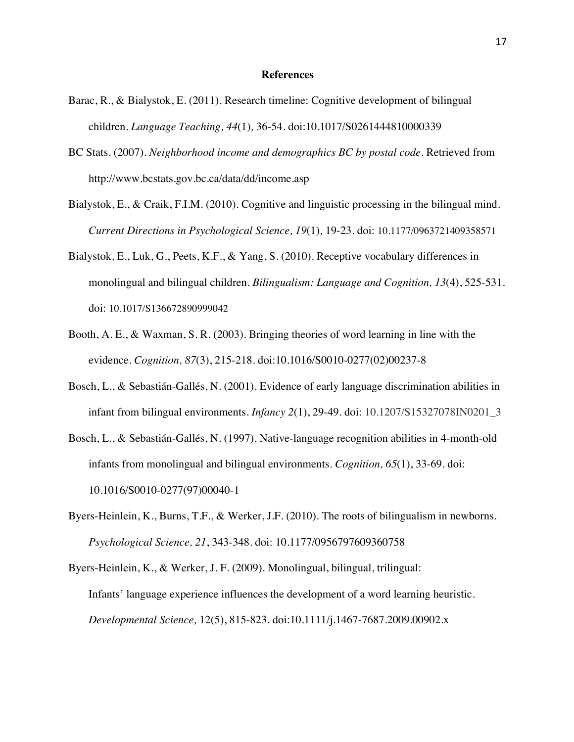#### **References**

- Barac, R., & Bialystok, E. (2011). Research timeline: Cognitive development of bilingual children. *Language Teaching, 44*(1)*,* 36-54. doi:10.1017/S0261444810000339
- BC Stats. (2007). *Neighborhood income and demographics BC by postal code.* Retrieved from http://www.bcstats.gov.bc.ca/data/dd/income.asp
- Bialystok, E., & Craik, F.I.M. (2010). Cognitive and linguistic processing in the bilingual mind. *Current Directions in Psychological Science, 19*(1)*,* 19-23*.* doi: 10.1177/0963721409358571
- Bialystok, E., Luk, G., Peets, K.F., & Yang, S. (2010). Receptive vocabulary differences in monolingual and bilingual children*. Bilingualism: Language and Cognition, 13*(4), 525-531. doi: 10.1017/S136672890999042
- Booth, A. E., & Waxman, S. R. (2003). Bringing theories of word learning in line with the evidence. *Cognition, 87*(3), 215-218. doi:10.1016/S0010-0277(02)00237-8
- Bosch, L., & Sebastián-Gallés, N. (2001). Evidence of early language discrimination abilities in infant from bilingual environments. *Infancy 2*(1), 29-49. doi: 10.1207/S15327078IN0201\_3
- Bosch, L., & Sebastián-Gallés, N. (1997). Native-language recognition abilities in 4-month-old infants from monolingual and bilingual environments. *Cognition, 65*(1), 33-69. doi: 10.1016/S0010-0277(97)00040-1
- Byers-Heinlein, K., Burns, T.F., & Werker, J.F. (2010). The roots of bilingualism in newborns. *Psychological Science, 21*, 343-348. doi: 10.1177/0956797609360758
- Byers-Heinlein, K., & Werker, J. F. (2009). Monolingual, bilingual, trilingual: Infants' language experience influences the development of a word learning heuristic. *Developmental Science,* 12(5), 815-823. doi:10.1111/j.1467-7687.2009.00902.x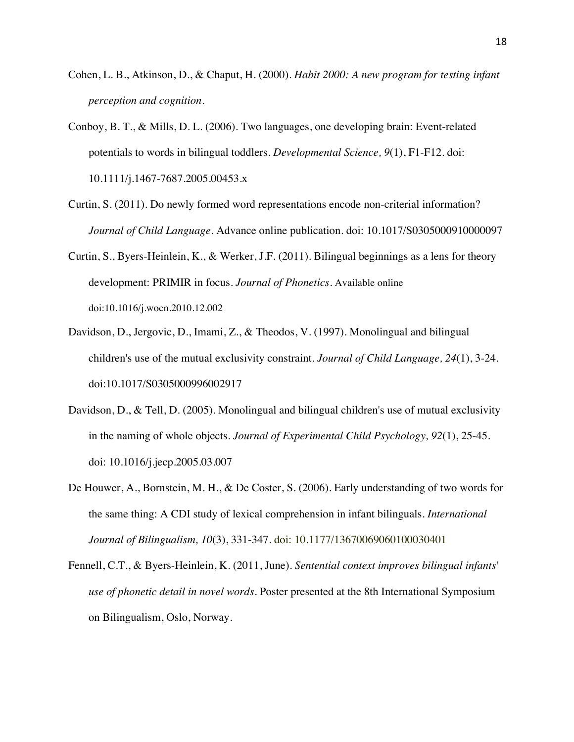- Cohen, L. B., Atkinson, D., & Chaput, H. (2000). *Habit 2000: A new program for testing infant perception and cognition.*
- Conboy, B. T., & Mills, D. L. (2006). Two languages, one developing brain: Event-related potentials to words in bilingual toddlers. *Developmental Science, 9*(1), F1-F12. doi: 10.1111/j.1467-7687.2005.00453.x
- Curtin, S. (2011). Do newly formed word representations encode non-criterial information? *Journal of Child Language.* Advance online publication. doi: 10.1017/S0305000910000097
- Curtin, S., Byers-Heinlein, K., & Werker, J.F. (2011). Bilingual beginnings as a lens for theory development: PRIMIR in focus. *Journal of Phonetics.* Available online doi:10.1016/j.wocn.2010.12.002
- Davidson, D., Jergovic, D., Imami, Z., & Theodos, V. (1997). Monolingual and bilingual children's use of the mutual exclusivity constraint. *Journal of Child Language, 24*(1), 3-24. doi:10.1017/S0305000996002917
- Davidson, D., & Tell, D. (2005). Monolingual and bilingual children's use of mutual exclusivity in the naming of whole objects. *Journal of Experimental Child Psychology, 92*(1), 25-45. doi: 10.1016/j.jecp.2005.03.007
- De Houwer, A., Bornstein, M. H., & De Coster, S. (2006). Early understanding of two words for the same thing: A CDI study of lexical comprehension in infant bilinguals. *International Journal of Bilingualism, 10*(3), 331-347. doi: 10.1177/13670069060100030401
- Fennell, C.T., & Byers-Heinlein, K. (2011, June). *Sentential context improves bilingual infants' use of phonetic detail in novel words*. Poster presented at the 8th International Symposium on Bilingualism, Oslo, Norway.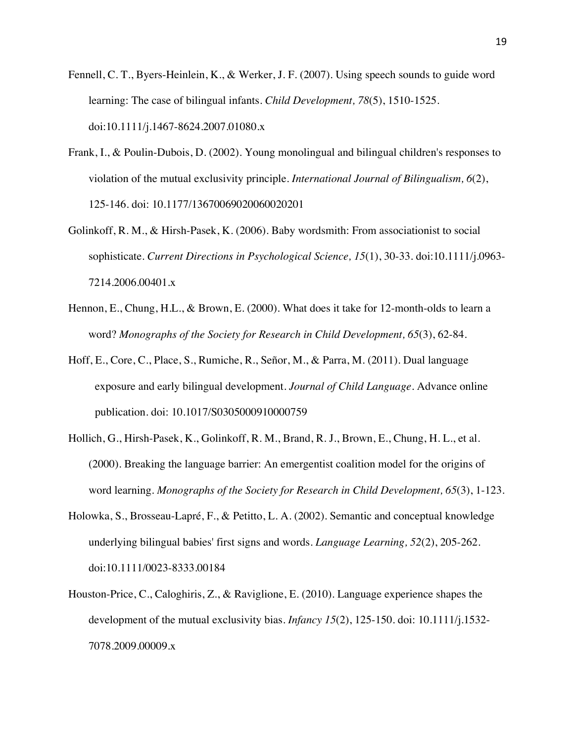- Fennell, C. T., Byers-Heinlein, K., & Werker, J. F. (2007). Using speech sounds to guide word learning: The case of bilingual infants. *Child Development, 78*(5), 1510-1525. doi:10.1111/j.1467-8624.2007.01080.x
- Frank, I., & Poulin-Dubois, D. (2002). Young monolingual and bilingual children's responses to violation of the mutual exclusivity principle. *International Journal of Bilingualism, 6*(2), 125-146. doi: 10.1177/13670069020060020201
- Golinkoff, R. M., & Hirsh-Pasek, K. (2006). Baby wordsmith: From associationist to social sophisticate. *Current Directions in Psychological Science, 15*(1), 30-33. doi:10.1111/j.0963- 7214.2006.00401.x
- Hennon, E., Chung, H.L., & Brown, E. (2000). What does it take for 12-month-olds to learn a word? *Monographs of the Society for Research in Child Development, 65*(3), 62-84.
- Hoff, E., Core, C., Place, S., Rumiche, R., Señor, M., & Parra, M. (2011). Dual language exposure and early bilingual development. *Journal of Child Language.* Advance online publication. doi: 10.1017/S0305000910000759
- Hollich, G., Hirsh-Pasek, K., Golinkoff, R. M., Brand, R. J., Brown, E., Chung, H. L., et al. (2000). Breaking the language barrier: An emergentist coalition model for the origins of word learning. *Monographs of the Society for Research in Child Development, 65*(3), 1-123.
- Holowka, S., Brosseau-Lapré, F., & Petitto, L. A. (2002). Semantic and conceptual knowledge underlying bilingual babies' first signs and words. *Language Learning, 52*(2), 205-262. doi:10.1111/0023-8333.00184
- Houston-Price, C., Caloghiris, Z., & Raviglione, E. (2010). Language experience shapes the development of the mutual exclusivity bias*. Infancy 15*(2), 125-150. doi: 10.1111/j.1532- 7078.2009.00009.x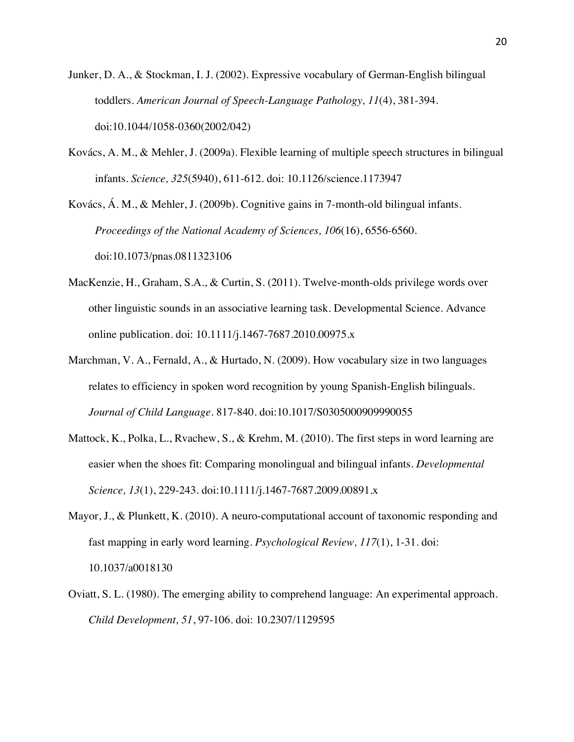- Junker, D. A., & Stockman, I. J. (2002). Expressive vocabulary of German-English bilingual toddlers. *American Journal of Speech-Language Pathology, 11*(4), 381-394. doi:10.1044/1058-0360(2002/042)
- Kovács, A. M., & Mehler, J. (2009a). Flexible learning of multiple speech structures in bilingual infants. *Science, 325*(5940), 611-612. doi: 10.1126/science.1173947

Kovács, Á. M., & Mehler, J. (2009b). Cognitive gains in 7-month-old bilingual infants. *Proceedings of the National Academy of Sciences, 106*(16), 6556-6560. doi:10.1073/pnas.0811323106

- MacKenzie, H., Graham, S.A., & Curtin, S. (2011). Twelve-month-olds privilege words over other linguistic sounds in an associative learning task. Developmental Science. Advance online publication. doi: 10.1111/j.1467-7687.2010.00975.x
- Marchman, V. A., Fernald, A., & Hurtado, N. (2009). How vocabulary size in two languages relates to efficiency in spoken word recognition by young Spanish-English bilinguals. *Journal of Child Language*. 817-840. doi:10.1017/S0305000909990055
- Mattock, K., Polka, L., Rvachew, S., & Krehm, M. (2010). The first steps in word learning are easier when the shoes fit: Comparing monolingual and bilingual infants. *Developmental Science, 13*(1), 229-243. doi:10.1111/j.1467-7687.2009.00891.x
- Mayor, J., & Plunkett, K. (2010). A neuro-computational account of taxonomic responding and fast mapping in early word learning. *Psychological Review, 117*(1), 1-31. doi: 10.1037/a0018130
- Oviatt, S. L. (1980). The emerging ability to comprehend language: An experimental approach. *Child Development, 51*, 97-106. doi: 10.2307/1129595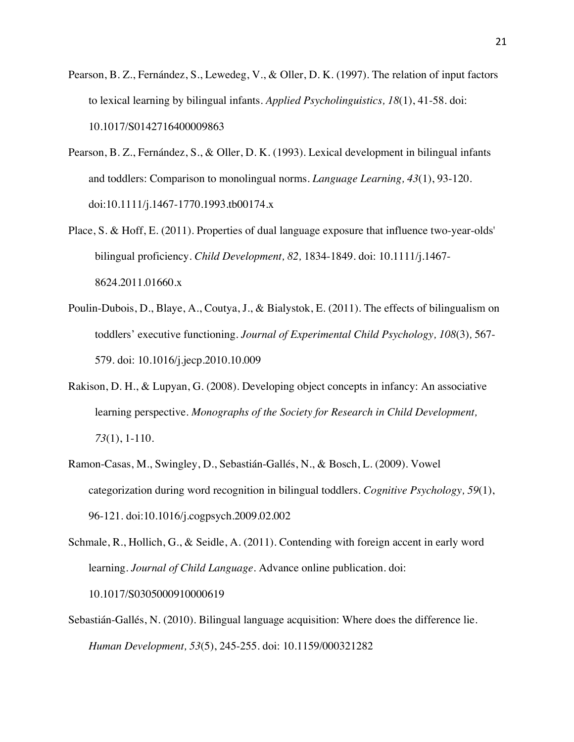- Pearson, B. Z., Fernández, S., Lewedeg, V., & Oller, D. K. (1997). The relation of input factors to lexical learning by bilingual infants. *Applied Psycholinguistics, 18*(1), 41-58. doi: 10.1017/S0142716400009863
- Pearson, B. Z., Fernández, S., & Oller, D. K. (1993). Lexical development in bilingual infants and toddlers: Comparison to monolingual norms. *Language Learning, 43*(1), 93-120. doi:10.1111/j.1467-1770.1993.tb00174.x
- Place, S. & Hoff, E. (2011). Properties of dual language exposure that influence two-year-olds' bilingual proficiency. *Child Development, 82,* 1834-1849. doi: 10.1111/j.1467- 8624.2011.01660.x
- Poulin-Dubois, D., Blaye, A., Coutya, J., & Bialystok, E. (2011). The effects of bilingualism on toddlers' executive functioning. *Journal of Experimental Child Psychology, 108*(3)*,* 567- 579. doi: 10.1016/j.jecp.2010.10.009
- Rakison, D. H., & Lupyan, G. (2008). Developing object concepts in infancy: An associative learning perspective. *Monographs of the Society for Research in Child Development, 73*(1), 1-110.
- Ramon-Casas, M., Swingley, D., Sebastián-Gallés, N., & Bosch, L. (2009). Vowel categorization during word recognition in bilingual toddlers. *Cognitive Psychology, 59*(1), 96-121. doi:10.1016/j.cogpsych.2009.02.002

Schmale, R., Hollich, G., & Seidle, A. (2011). Contending with foreign accent in early word learning. *Journal of Child Language.* Advance online publication. doi: 10.1017/S0305000910000619

Sebastián-Gallés, N. (2010). Bilingual language acquisition: Where does the difference lie. *Human Development, 53*(5), 245-255. doi: 10.1159/000321282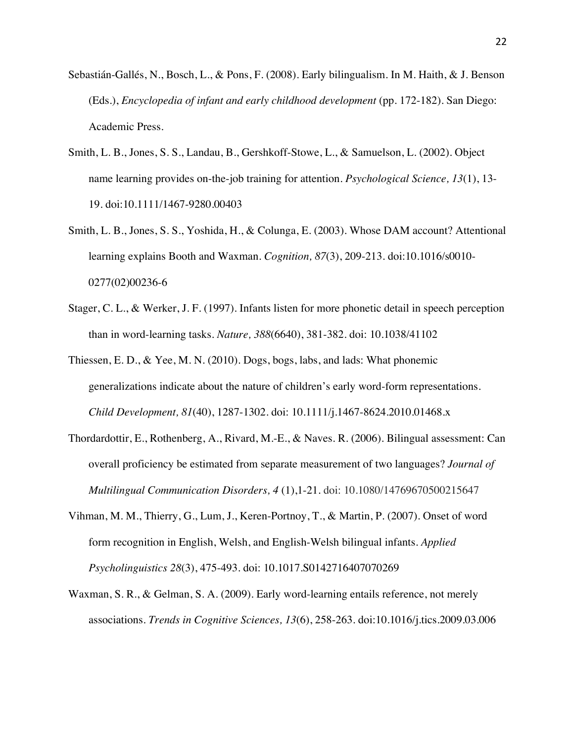- Sebastián-Gallés, N., Bosch, L., & Pons, F. (2008). Early bilingualism. In M. Haith, & J. Benson (Eds.), *Encyclopedia of infant and early childhood development* (pp. 172-182). San Diego: Academic Press.
- Smith, L. B., Jones, S. S., Landau, B., Gershkoff-Stowe, L., & Samuelson, L. (2002). Object name learning provides on-the-job training for attention. *Psychological Science, 13*(1), 13- 19. doi:10.1111/1467-9280.00403
- Smith, L. B., Jones, S. S., Yoshida, H., & Colunga, E. (2003). Whose DAM account? Attentional learning explains Booth and Waxman. *Cognition, 87*(3), 209-213. doi:10.1016/s0010- 0277(02)00236-6
- Stager, C. L., & Werker, J. F. (1997). Infants listen for more phonetic detail in speech perception than in word-learning tasks. *Nature, 388*(6640), 381-382. doi: 10.1038/41102
- Thiessen, E. D., & Yee, M. N. (2010). Dogs, bogs, labs, and lads: What phonemic generalizations indicate about the nature of children's early word-form representations. *Child Development, 81*(40), 1287-1302. doi: 10.1111/j.1467-8624.2010.01468.x
- Thordardottir, E., Rothenberg, A., Rivard, M.-E., & Naves. R. (2006). Bilingual assessment: Can overall proficiency be estimated from separate measurement of two languages? *Journal of Multilingual Communication Disorders, 4* (1),1-21. doi: 10.1080/14769670500215647
- Vihman, M. M., Thierry, G., Lum, J., Keren-Portnoy, T., & Martin, P. (2007). Onset of word form recognition in English, Welsh, and English-Welsh bilingual infants. *Applied Psycholinguistics 28*(3), 475-493. doi: 10.1017.S0142716407070269
- Waxman, S. R., & Gelman, S. A. (2009). Early word-learning entails reference, not merely associations. *Trends in Cognitive Sciences, 13*(6), 258-263. doi:10.1016/j.tics.2009.03.006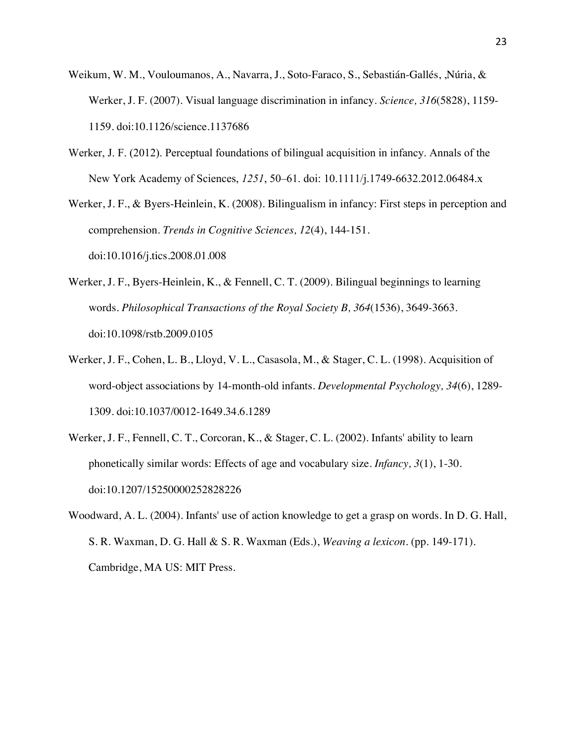- Weikum, W. M., Vouloumanos, A., Navarra, J., Soto-Faraco, S., Sebastián-Gallés, ,Núria, & Werker, J. F. (2007). Visual language discrimination in infancy. *Science, 316*(5828), 1159- 1159. doi:10.1126/science.1137686
- Werker, J. F. (2012). Perceptual foundations of bilingual acquisition in infancy. Annals of the New York Academy of Sciences, *1251*, 50–61. doi: 10.1111/j.1749-6632.2012.06484.x

Werker, J. F., & Byers-Heinlein, K. (2008). Bilingualism in infancy: First steps in perception and comprehension. *Trends in Cognitive Sciences, 12*(4), 144-151. doi:10.1016/j.tics.2008.01.008

- Werker, J. F., Byers-Heinlein, K., & Fennell, C. T. (2009). Bilingual beginnings to learning words. *Philosophical Transactions of the Royal Society B, 364*(1536), 3649-3663. doi:10.1098/rstb.2009.0105
- Werker, J. F., Cohen, L. B., Lloyd, V. L., Casasola, M., & Stager, C. L. (1998). Acquisition of word-object associations by 14-month-old infants. *Developmental Psychology, 34*(6), 1289- 1309. doi:10.1037/0012-1649.34.6.1289
- Werker, J. F., Fennell, C. T., Corcoran, K., & Stager, C. L. (2002). Infants' ability to learn phonetically similar words: Effects of age and vocabulary size. *Infancy, 3*(1), 1-30. doi:10.1207/15250000252828226
- Woodward, A. L. (2004). Infants' use of action knowledge to get a grasp on words. In D. G. Hall, S. R. Waxman, D. G. Hall & S. R. Waxman (Eds.), *Weaving a lexicon.* (pp. 149-171). Cambridge, MA US: MIT Press.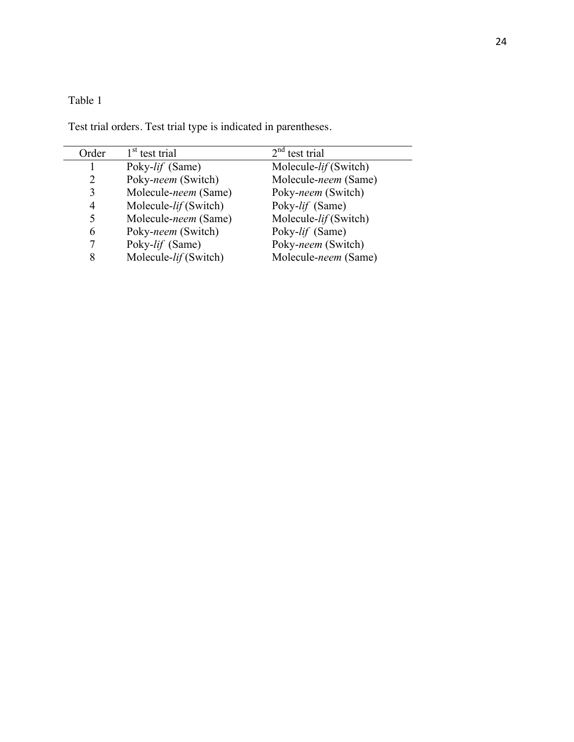# Table 1

Test trial orders. Test trial type is indicated in parentheses.

| Order          | 1 <sup>st</sup> test trial | $2nd$ test trial      |
|----------------|----------------------------|-----------------------|
|                | Poky-lif (Same)            | Molecule-lif (Switch) |
| $\overline{2}$ | Poky-neem (Switch)         | Molecule-neem (Same)  |
| 3              | Molecule-neem (Same)       | Poky-neem (Switch)    |
| 4              | Molecule-lif (Switch)      | Poky-lif (Same)       |
| 5              | Molecule-neem (Same)       | Molecule-lif (Switch) |
| 6              | Poky-neem (Switch)         | Poky-lif (Same)       |
| 7              | Poky-lif (Same)            | Poky-neem (Switch)    |
| 8              | Molecule-lif (Switch)      | Molecule-neem (Same)  |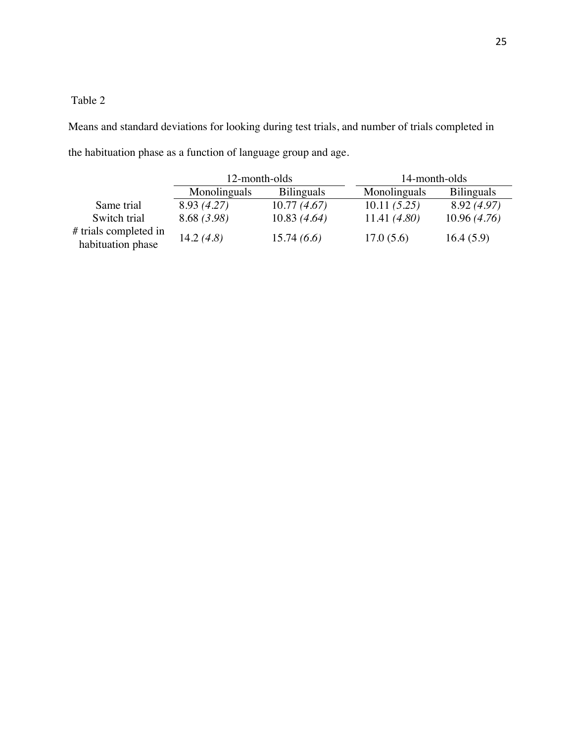## Table 2

Means and standard deviations for looking during test trials, and number of trials completed in the habituation phase as a function of language group and age.

|                                            | 12-month-olds |                   | 14-month-olds |  |                   |
|--------------------------------------------|---------------|-------------------|---------------|--|-------------------|
|                                            | Monolinguals  | <b>Bilinguals</b> | Monolinguals  |  | <b>Bilinguals</b> |
| Same trial                                 | 8.93 (4.27)   | 10.77(4.67)       | 10.11(5.25)   |  | 8.92 (4.97)       |
| Switch trial                               | 8.68(3.98)    | 10.83(4.64)       | 11.41(4.80)   |  | 10.96(4.76)       |
| # trials completed in<br>habituation phase | 14.2 $(4.8)$  | 15.74(6.6)        | 17.0(5.6)     |  | 16.4(5.9)         |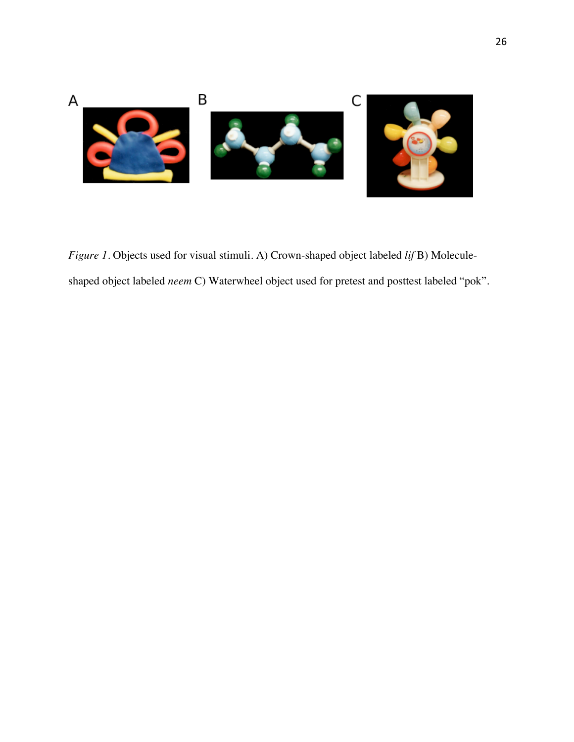

*Figure 1*. Objects used for visual stimuli. A) Crown-shaped object labeled *lif* B) Moleculeshaped object labeled *neem* C) Waterwheel object used for pretest and posttest labeled "pok".